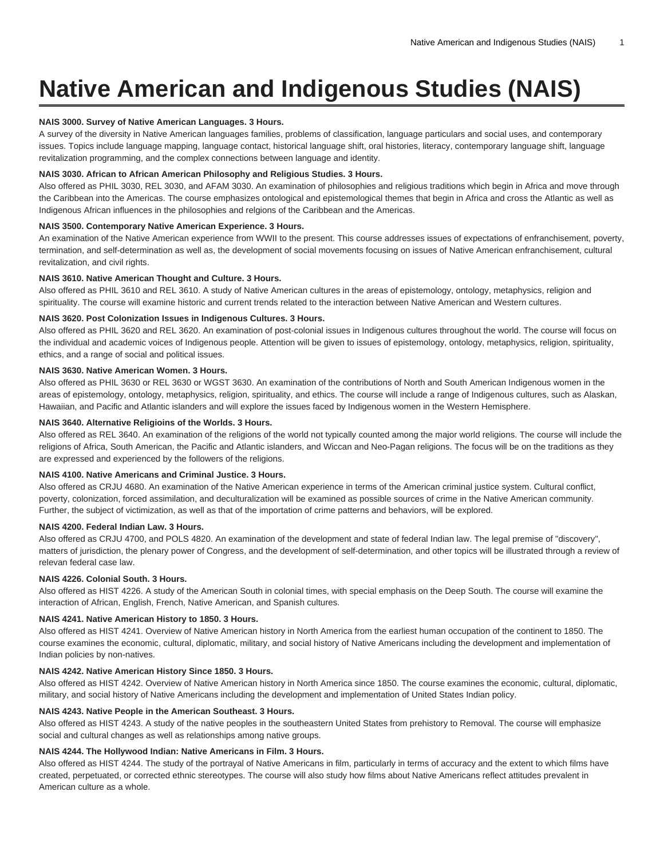# **Native American and Indigenous Studies (NAIS)**

## **NAIS 3000. Survey of Native American Languages. 3 Hours.**

A survey of the diversity in Native American languages families, problems of classification, language particulars and social uses, and contemporary issues. Topics include language mapping, language contact, historical language shift, oral histories, literacy, contemporary language shift, language revitalization programming, and the complex connections between language and identity.

## **NAIS 3030. African to African American Philosophy and Religious Studies. 3 Hours.**

Also offered as PHIL 3030, REL 3030, and AFAM 3030. An examination of philosophies and religious traditions which begin in Africa and move through the Caribbean into the Americas. The course emphasizes ontological and epistemological themes that begin in Africa and cross the Atlantic as well as Indigenous African influences in the philosophies and relgions of the Caribbean and the Americas.

#### **NAIS 3500. Contemporary Native American Experience. 3 Hours.**

An examination of the Native American experience from WWII to the present. This course addresses issues of expectations of enfranchisement, poverty, termination, and self-determination as well as, the development of social movements focusing on issues of Native American enfranchisement, cultural revitalization, and civil rights.

#### **NAIS 3610. Native American Thought and Culture. 3 Hours.**

Also offered as PHIL 3610 and REL 3610. A study of Native American cultures in the areas of epistemology, ontology, metaphysics, religion and spirituality. The course will examine historic and current trends related to the interaction between Native American and Western cultures.

## **NAIS 3620. Post Colonization Issues in Indigenous Cultures. 3 Hours.**

Also offered as PHIL 3620 and REL 3620. An examination of post-colonial issues in Indigenous cultures throughout the world. The course will focus on the individual and academic voices of Indigenous people. Attention will be given to issues of epistemology, ontology, metaphysics, religion, spirituality, ethics, and a range of social and political issues.

# **NAIS 3630. Native American Women. 3 Hours.**

Also offered as PHIL 3630 or REL 3630 or WGST 3630. An examination of the contributions of North and South American Indigenous women in the areas of epistemology, ontology, metaphysics, religion, spirituality, and ethics. The course will include a range of Indigenous cultures, such as Alaskan, Hawaiian, and Pacific and Atlantic islanders and will explore the issues faced by Indigenous women in the Western Hemisphere.

#### **NAIS 3640. Alternative Religioins of the Worlds. 3 Hours.**

Also offered as REL 3640. An examination of the religions of the world not typically counted among the major world religions. The course will include the religions of Africa, South American, the Pacific and Atlantic islanders, and Wiccan and Neo-Pagan religions. The focus will be on the traditions as they are expressed and experienced by the followers of the religions.

## **NAIS 4100. Native Americans and Criminal Justice. 3 Hours.**

Also offered as CRJU 4680. An examination of the Native American experience in terms of the American criminal justice system. Cultural conflict, poverty, colonization, forced assimilation, and deculturalization will be examined as possible sources of crime in the Native American community. Further, the subject of victimization, as well as that of the importation of crime patterns and behaviors, will be explored.

#### **NAIS 4200. Federal Indian Law. 3 Hours.**

Also offered as CRJU 4700, and POLS 4820. An examination of the development and state of federal Indian law. The legal premise of "discovery", matters of jurisdiction, the plenary power of Congress, and the development of self-determination, and other topics will be illustrated through a review of relevan federal case law.

## **NAIS 4226. Colonial South. 3 Hours.**

Also offered as HIST 4226. A study of the American South in colonial times, with special emphasis on the Deep South. The course will examine the interaction of African, English, French, Native American, and Spanish cultures.

## **NAIS 4241. Native American History to 1850. 3 Hours.**

Also offered as HIST 4241. Overview of Native American history in North America from the earliest human occupation of the continent to 1850. The course examines the economic, cultural, diplomatic, military, and social history of Native Americans including the development and implementation of Indian policies by non-natives.

## **NAIS 4242. Native American History Since 1850. 3 Hours.**

Also offered as HIST 4242. Overview of Native American history in North America since 1850. The course examines the economic, cultural, diplomatic, military, and social history of Native Americans including the development and implementation of United States Indian policy.

#### **NAIS 4243. Native People in the American Southeast. 3 Hours.**

Also offered as HIST 4243. A study of the native peoples in the southeastern United States from prehistory to Removal. The course will emphasize social and cultural changes as well as relationships among native groups.

## **NAIS 4244. The Hollywood Indian: Native Americans in Film. 3 Hours.**

Also offered as HIST 4244. The study of the portrayal of Native Americans in film, particularly in terms of accuracy and the extent to which films have created, perpetuated, or corrected ethnic stereotypes. The course will also study how films about Native Americans reflect attitudes prevalent in American culture as a whole.